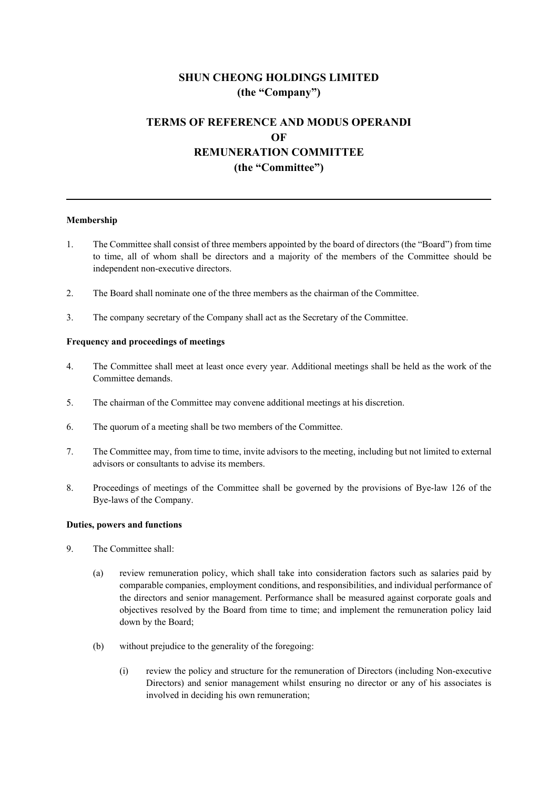# **SHUN CHEONG HOLDINGS LIMITED (the "Company")**

## **TERMS OF REFERENCE AND MODUS OPERANDI OF REMUNERATION COMMITTEE (the "Committee")**

### **Membership**

- 1. The Committee shall consist of three members appointed by the board of directors (the "Board") from time to time, all of whom shall be directors and a majority of the members of the Committee should be independent non-executive directors.
- 2. The Board shall nominate one of the three members as the chairman of the Committee.
- 3. The company secretary of the Company shall act as the Secretary of the Committee.

### **Frequency and proceedings of meetings**

- 4. The Committee shall meet at least once every year. Additional meetings shall be held as the work of the Committee demands.
- 5. The chairman of the Committee may convene additional meetings at his discretion.
- 6. The quorum of a meeting shall be two members of the Committee.
- 7. The Committee may, from time to time, invite advisors to the meeting, including but not limited to external advisors or consultants to advise its members.
- 8. Proceedings of meetings of the Committee shall be governed by the provisions of Bye-law 126 of the Bye-laws of the Company.

#### **Duties, powers and functions**

- 9. The Committee shall:
	- (a) review remuneration policy, which shall take into consideration factors such as salaries paid by comparable companies, employment conditions, and responsibilities, and individual performance of the directors and senior management. Performance shall be measured against corporate goals and objectives resolved by the Board from time to time; and implement the remuneration policy laid down by the Board;
	- (b) without prejudice to the generality of the foregoing:
		- (i) review the policy and structure for the remuneration of Directors (including Non-executive Directors) and senior management whilst ensuring no director or any of his associates is involved in deciding his own remuneration;